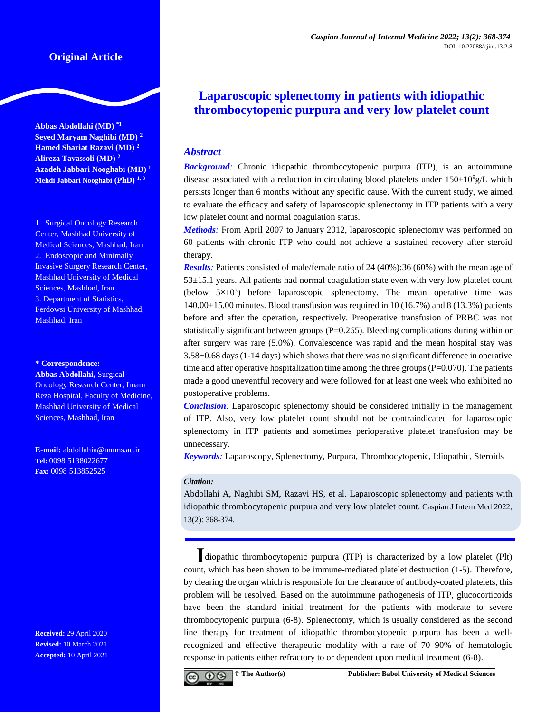# **Original Article**

**Abbas Abdollahi (MD) \*1 Seyed Maryam Naghibi (MD) <sup>2</sup> Hamed Shariat Razavi (MD) <sup>2</sup> Alireza Tavassoli (MD) <sup>2</sup> Azadeh Jabbari Nooghabi (MD) <sup>1</sup> Mehdi Jabbari Nooghabi (PhD) 1, <sup>3</sup>**

1. Surgical Oncology Research Center, Mashhad University of Medical Sciences, Mashhad, Iran 2. Endoscopic and Minimally Invasive Surgery Research Center, Mashhad University of Medical Sciences, Mashhad, Iran 3. Department of Statistics, Ferdowsi University of Mashhad, Mashhad, Iran

#### **\* Correspondence:**

**Abbas Abdollahi,** Surgical Oncology Research Center, Imam Reza Hospital, Faculty of Medicine, Mashhad University of Medical Sciences, Mashhad, Iran

**E-mail:** [abdollahia@mums.ac.ir](mailto:abdollahia@mums.ac.ir) **Tel:** 0098 5138022677 **Fax:** 0098 513852525

**Received:** 29 April 2020 **Revised:** 10 March 2021 **Accepted:** 10 April 2021

# **Laparoscopic splenectomy in patients with idiopathic thrombocytopenic purpura and very low platelet count**

# *Abstract*

*Background:* Chronic idiopathic thrombocytopenic purpura (ITP), is an autoimmune disease associated with a reduction in circulating blood platelets under  $150\pm10^9$  g/L which persists longer than 6 months without any specific cause. With the current study, we aimed to evaluate the efficacy and safety of laparoscopic splenectomy in ITP patients with a very low platelet count and normal coagulation status.

*Methods:* From April 2007 to January 2012, laparoscopic splenectomy was performed on 60 patients with chronic ITP who could not achieve a sustained recovery after steroid therapy.

*Results*: Patients consisted of male/female ratio of 24 (40%):36 (60%) with the mean age of 53±15.1 years. All patients had normal coagulation state even with very low platelet count (below  $5\times10^3$ ) before laparoscopic splenectomy. The mean operative time was  $140.00\pm15.00$  minutes. Blood transfusion was required in 10 (16.7%) and 8 (13.3%) patients before and after the operation, respectively. Preoperative transfusion of PRBC was not statistically significant between groups  $(P=0.265)$ . Bleeding complications during within or after surgery was rare (5.0%). Convalescence was rapid and the mean hospital stay was 3.58±0.68 days (1-14 days) which shows that there was no significant difference in operative time and after operative hospitalization time among the three groups  $(P=0.070)$ . The patients made a good uneventful recovery and were followed for at least one week who exhibited no postoperative problems.

*Conclusion:* Laparoscopic splenectomy should be considered initially in the management of ITP. Also, very low platelet count should not be contraindicated for laparoscopic splenectomy in ITP patients and sometimes perioperative platelet transfusion may be unnecessary.

*Keywords:* Laparoscopy, Splenectomy, Purpura, Thrombocytopenic, Idiopathic, Steroids

#### *Citation:*

Abdollahi A, Naghibi SM, Razavi HS, et al. Laparoscopic splenectomy and patients with idiopathic thrombocytopenic purpura and very low platelet count. Caspian J Intern Med 2022; 13(2): 368-374.

**I**diopathic thrombocytopenic purpura (ITP) is characterized by a low platelet (Plt) count, which has been shown to be immune-mediated platelet destruction [\(1-5\)](#page-5-0). Therefore, by clearing the organ which is responsible for the clearance of antibody-coated platelets, this problem will be resolved. Based on the autoimmune pathogenesis of ITP, glucocorticoids have been the standard initial treatment for the patients with moderate to severe thrombocytopenic purpura [\(6-8\)](#page-5-1). Splenectomy, which is usually considered as the second line therapy for treatment of idiopathic thrombocytopenic purpura has been a wellrecognized and effective therapeutic modality with a rate of 70–90% of hematologic response in patients either refractory to or dependent upon medical treatment [\(6-8\)](#page-5-1).

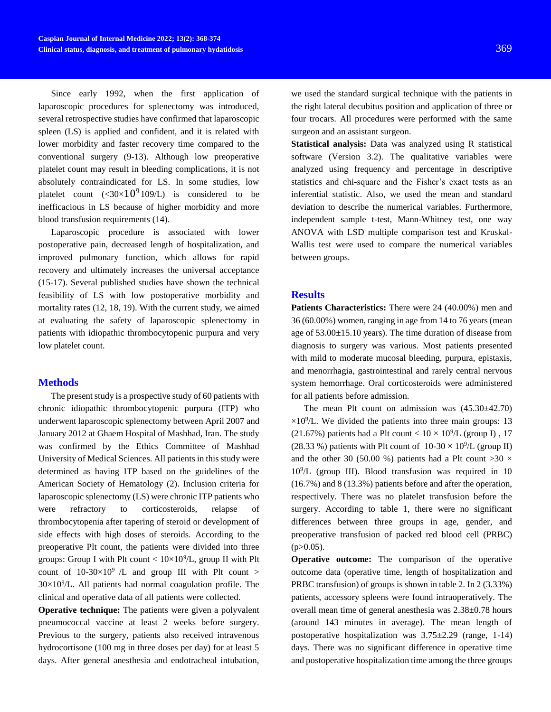Since early 1992, when the first application of laparoscopic procedures for splenectomy was introduced, several retrospective studies have confirmed that laparoscopic spleen (LS) is applied and confident, and it is related with lower morbidity and faster recovery time compared to the conventional surgery [\(9-13\)](#page-5-2). Although low preoperative platelet count may result in bleeding complications, it is not absolutely contraindicated for LS. In some studies, low platelet count  $(\leq 30 \times 10^9 109$ /L) is considered to be inefficacious in LS because of higher morbidity and more blood transfusion requirements [\(14\)](#page-5-3).

Laparoscopic procedure is associated with lower postoperative pain, decreased length of hospitalization, and improved pulmonary function, which allows for rapid recovery and ultimately increases the universal acceptance [\(15-17\)](#page-5-4). Several published studies have shown the technical feasibility of LS with low postoperative morbidity and mortality rates [\(12,](#page-5-5) [18,](#page-5-6) [19\)](#page-5-7). With the current study, we aimed at evaluating the safety of laparoscopic splenectomy in patients with idiopathic thrombocytopenic purpura and very low platelet count.

#### **Methods**

The present study is a prospective study of 60 patients with chronic idiopathic thrombocytopenic purpura (ITP) who underwent laparoscopic splenectomy between April 2007 and January 2012 at Ghaem Hospital of Mashhad, Iran. The study was confirmed by the Ethics Committee of Mashhad University of Medical Sciences. All patients in this study were determined as having ITP based on the guidelines of the American Society of Hematology [\(2\)](#page-5-8). Inclusion criteria for laparoscopic splenectomy (LS) were chronic ITP patients who were refractory to corticosteroids, relapse of thrombocytopenia after tapering of steroid or development of side effects with high doses of steroids. According to the preoperative Plt count, the patients were divided into three groups: Group I with Plt count  $< 10 \times 10^{9}/L$ , group II with Plt count of  $10-30\times10^9$  /L and group III with Plt count >  $30\times10^{9}/L$ . All patients had normal coagulation profile. The clinical and operative data of all patients were collected.

**Operative technique:** The patients were given a polyvalent pneumococcal vaccine at least 2 weeks before surgery. Previous to the surgery, patients also received intravenous hydrocortisone (100 mg in three doses per day) for at least 5 days. After general anesthesia and endotracheal intubation,

we used the standard surgical technique with the patients in the right lateral decubitus position and application of three or four trocars. All procedures were performed with the same surgeon and an assistant surgeon.

**Statistical analysis:** Data was analyzed using R statistical software (Version 3.2). The qualitative variables were analyzed using frequency and percentage in descriptive statistics and chi-square and the Fisher's exact tests as an inferential statistic. Also, we used the mean and standard deviation to describe the numerical variables. Furthermore, independent sample t-test, Mann-Whitney test, one way ANOVA with LSD multiple comparison test and Kruskal-Wallis test were used to compare the numerical variables between groups.

#### **Results**

Patients Characteristics: There were 24 (40.00%) men and 36 (60.00%) women, ranging in age from 14 to 76 years (mean age of 53.00±15.10 years). The time duration of disease from diagnosis to surgery was various. Most patients presented with mild to moderate mucosal bleeding, purpura, epistaxis, and menorrhagia, gastrointestinal and rarely central nervous system hemorrhage. Oral corticosteroids were administered for all patients before admission.

The mean Plt count on admission was (45.30±42.70)  $\times 10^9$ /L. We divided the patients into three main groups: 13 (21.67%) patients had a Plt count <  $10 \times 10^9$ /L (group I), 17 (28.33 %) patients with Plt count of  $10-30 \times 10^9$ /L (group II) and the other 30 (50.00 %) patients had a Plt count  $>30 \times$ 10<sup>9</sup> /L (group III). Blood transfusion was required in 10 (16.7%) and 8 (13.3%) patients before and after the operation, respectively. There was no platelet transfusion before the surgery. According to table 1, there were no significant differences between three groups in age, gender, and preoperative transfusion of packed red blood cell (PRBC)  $(p>0.05)$ .

**Operative outcome:** The comparison of the operative outcome data (operative time, length of hospitalization and PRBC transfusion) of groups is shown in table 2. In 2 (3.33%) patients, accessory spleens were found intraoperatively. The overall mean time of general anesthesia was 2.38±0.78 hours (around 143 minutes in average). The mean length of postoperative hospitalization was 3.75±2.29 (range, 1-14) days. There was no significant difference in operative time and postoperative hospitalization time among the three groups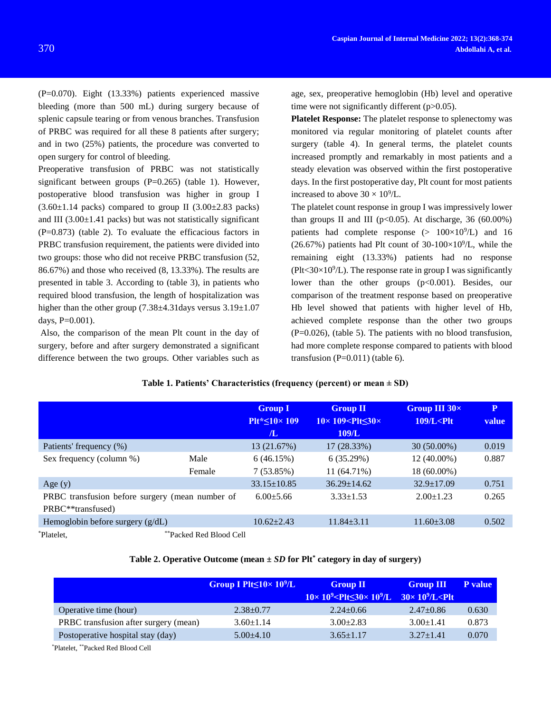(P=0.070). Eight (13.33%) patients experienced massive bleeding (more than 500 mL) during surgery because of splenic capsule tearing or from venous branches. Transfusion of PRBC was required for all these 8 patients after surgery; and in two (25%) patients, the procedure was converted to open surgery for control of bleeding.

Preoperative transfusion of PRBC was not statistically significant between groups  $(P=0.265)$  (table 1). However, postoperative blood transfusion was higher in group I  $(3.60\pm1.14 \text{ packs})$  compared to group II  $(3.00\pm2.83 \text{ packs})$ and III  $(3.00\pm1.41$  packs) but was not statistically significant (P=0.873) (table 2). To evaluate the efficacious factors in PRBC transfusion requirement, the patients were divided into two groups: those who did not receive PRBC transfusion (52, 86.67%) and those who received (8, 13.33%). The results are presented in table 3. According to (table 3), in patients who required blood transfusion, the length of hospitalization was higher than the other group (7.38 $\pm$ 4.31days versus 3.19 $\pm$ 1.07 days, P=0.001).

Also, the comparison of the mean Plt count in the day of surgery, before and after surgery demonstrated a significant difference between the two groups. Other variables such as age, sex, preoperative hemoglobin (Hb) level and operative time were not significantly different (p>0.05).

**Platelet Response:** The platelet response to splenectomy was monitored via regular monitoring of platelet counts after surgery (table 4). In general terms, the platelet counts increased promptly and remarkably in most patients and a steady elevation was observed within the first postoperative days. In the first postoperative day, Plt count for most patients increased to above  $30 \times 10^9$ /L.

The platelet count response in group I was impressively lower than groups II and III ( $p<0.05$ ). At discharge, 36 (60.00%) patients had complete response  $(> 100 \times 10^9/L)$  and 16  $(26.67%)$  patients had Plt count of 30-100×10<sup>9</sup>/L, while the remaining eight (13.33%) patients had no response  $(Plt < 30 \times 10^9/L)$ . The response rate in group I was significantly lower than the other groups (p<0.001). Besides, our comparison of the treatment response based on preoperative Hb level showed that patients with higher level of Hb, achieved complete response than the other two groups (P=0.026), (table 5). The patients with no blood transfusion, had more complete response compared to patients with blood transfusion  $(P=0.011)$  (table 6).

|                                                 |                         | <b>Group I</b><br>$P$ It* $\leq 10 \times 109$<br>Æ. | <b>Group II</b><br>$10\times 109 <$ Plt $\leq 30\times$<br>109/L | Group III 30x<br>$109/L <$ Plt | $\mathbf{P}$<br>value |
|-------------------------------------------------|-------------------------|------------------------------------------------------|------------------------------------------------------------------|--------------------------------|-----------------------|
| Patients' frequency (%)                         |                         | 13 (21.67%)                                          | 17 (28.33%)                                                      | $30(50.00\%)$                  | 0.019                 |
| Sex frequency (column %)                        | Male                    | 6(46.15%)                                            | 6(35.29%)                                                        | 12 (40.00%)                    | 0.887                 |
|                                                 | Female                  | 7(53.85%)                                            | 11 (64.71%)                                                      | 18 (60.00%)                    |                       |
| Age $(y)$                                       |                         | $33.15 \pm 10.85$                                    | $36.29 \pm 14.62$                                                | $32.9 \pm 17.09$               | 0.751                 |
| PRBC transfusion before surgery (mean number of |                         | $6.00 + 5.66$                                        | $3.33 \pm 1.53$                                                  | $2.00 \pm 1.23$                | 0.265                 |
| PRBC <sup>**</sup> transfused)                  |                         |                                                      |                                                                  |                                |                       |
| Hemoglobin before surgery $(g/dL)$              |                         | $10.62 + 2.43$                                       | $11.84 \pm 3.11$                                                 | $11.60 \pm 3.08$               | 0.502                 |
| *Platelet.                                      | **Packed Red Blood Cell |                                                      |                                                                  |                                |                       |

# **Table 1. Patients' Characteristics (frequency (percent) or mean ± SD)**

#### **Table 2. Operative Outcome (mean ±** *SD* **for Plt\* category in day of surgery)**

|                                       | Group I Plt $\leq 10 \times 10^9$ /L | <b>Group II</b><br>$10 \times 10^9$ <plt <math="">\leq 30 \times 10^9/L <math>30 \times 10^9</math>/L <plt< th=""><th><b>Group III</b></th><th><b>P</b> value</th></plt<></plt> | <b>Group III</b> | <b>P</b> value |
|---------------------------------------|--------------------------------------|---------------------------------------------------------------------------------------------------------------------------------------------------------------------------------|------------------|----------------|
| Operative time (hour)                 | $2.38 \pm 0.77$                      | $2.24 \pm 0.66$                                                                                                                                                                 | $2.47 \pm 0.86$  | 0.630          |
| PRBC transfusion after surgery (mean) | $3.60 \pm 1.14$                      | $3.00 \pm 2.83$                                                                                                                                                                 | $3.00 \pm 1.41$  | 0.873          |
| Postoperative hospital stay (day)     | $5.00\pm4.10$                        | $3.65 \pm 1.17$                                                                                                                                                                 | $3.27 \pm 1.41$  | 0.070          |
|                                       |                                      |                                                                                                                                                                                 |                  |                |

\*Platelet, \*\*Packed Red Blood Cell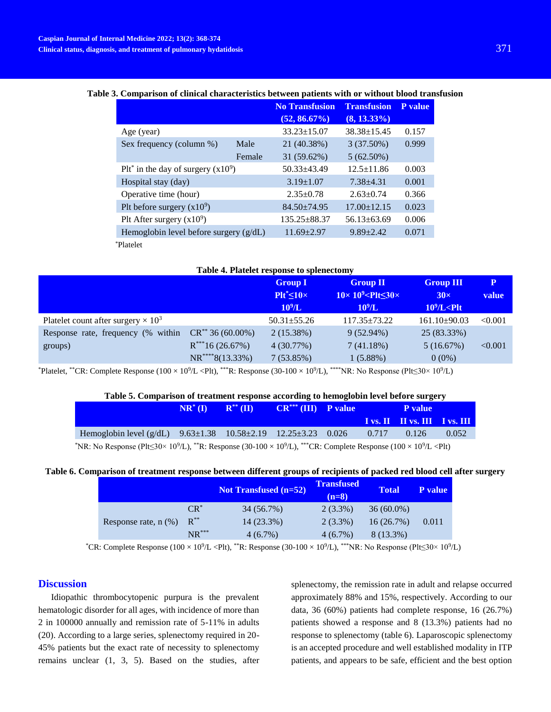#### **Table 3. Comparison of clinical characteristics between patients with or without blood transfusion**

|                                                   |        | <b>No Transfusion</b> | <b>Transfusion</b> | P value |
|---------------------------------------------------|--------|-----------------------|--------------------|---------|
|                                                   |        | $(52, 86.67\%)$       | $(8, 13.33\%)$     |         |
| Age (year)                                        |        | $33.23 \pm 15.07$     | $38.38 \pm 15.45$  | 0.157   |
| Sex frequency (column %)                          | Male   | 21 (40.38%)           | $3(37.50\%)$       | 0.999   |
|                                                   | Female | 31 (59.62%)           | $5(62.50\%)$       |         |
| $P1t^*$ in the day of surgery (x10 <sup>9</sup> ) |        | $50.33 \pm 43.49$     | $12.5 \pm 11.86$   | 0.003   |
| Hospital stay (day)                               |        | $3.19 \pm 1.07$       | $7.38 \pm 4.31$    | 0.001   |
| Operative time (hour)                             |        | $2.35 \pm 0.78$       | $2.63 \pm 0.74$    | 0.366   |
| Plt before surgery $(x10^9)$                      |        | $84.50\pm74.95$       | $17.00 \pm 12.15$  | 0.023   |
| Plt After surgery $(x10^9)$                       |        | $135.25 \pm 88.37$    | $56.13 \pm 63.69$  | 0.006   |
| Hemoglobin level before surgery $(g/dL)$          |        | $11.69 \pm 2.97$      | $9.89 \pm 2.42$    | 0.071   |
| *Platelet                                         |        |                       |                    |         |

| Table 4. Platelet response to splenectomy     |                                                                      |                                                       |                                                                                              |                                                                                     |            |  |  |
|-----------------------------------------------|----------------------------------------------------------------------|-------------------------------------------------------|----------------------------------------------------------------------------------------------|-------------------------------------------------------------------------------------|------------|--|--|
|                                               |                                                                      | <b>Group I</b><br>$P1t^* \leq 10 \times$<br>$10^9$ /L | <b>Group II</b><br>$10\times10^9$ <plt<math>\leq 30\times<br/><math>10^9</math>/L</plt<math> | <b>Group III</b><br>$30\times$<br>$10^9$ /L <plt< th=""><th>P<br/>value</th></plt<> | P<br>value |  |  |
| Platelet count after surgery $\times 10^3$    |                                                                      | $50.31 \pm 55.26$                                     | $117.35 \pm 73.22$                                                                           | $161.10\pm90.03$                                                                    | < 0.001    |  |  |
| Response rate, frequency (% within<br>groups) | $CR^{**}$ 36 (60.00%)<br>$R^{***}16(26.67%)$<br>$NR^{***8(13.33\%)}$ | $2(15.38\%)$<br>4(30.77%)<br>7(53.85%)                | $9(52.94\%)$<br>7(41.18%)<br>1(5.88%)                                                        | 25 (83.33%)<br>5(16.67%)<br>$0(0\%)$                                                | < 0.001    |  |  |

\*Platelet, \*\*CR: Complete Response ( $100 \times 10^9/\text{L}$  <Plt), \*\*\*R: Response (30-100 × 10<sup>9</sup>/L), \*\*\*\*NR: No Response (Plt≤30× 10<sup>9</sup>/L)

#### **Table 5. Comparison of treatment response according to hemoglobin level before surgery**

|                                                                                                                                                                                                                      | $NR^*(I)$ | $\mathbf{R}^{**}(\mathbf{II})$ | $CR^{***} (III)$ P value |       | P value                             |       |
|----------------------------------------------------------------------------------------------------------------------------------------------------------------------------------------------------------------------|-----------|--------------------------------|--------------------------|-------|-------------------------------------|-------|
|                                                                                                                                                                                                                      |           |                                |                          |       | <b>I</b> vs. II II vs. III IVS. III |       |
| Hemoglobin level $(g/dL)$ 9.63±1.38 10.58±2.19 12.25±3.23 0.026                                                                                                                                                      |           |                                |                          | 0.717 | 0.126                               | 0.052 |
| *NR: No Response (Plt $\leq 30 \times 10^9$ /L), **R: Response (30-100 $\times 10^9$ /L), ***CR: Complete Response (100 $\times 10^9$ /L <plt)< td=""><td></td><td></td><td></td><td></td><td></td><td></td></plt)<> |           |                                |                          |       |                                     |       |

# **Table 6. Comparison of treatment response between different groups of recipients of packed red blood cell after surgery**

|                           |                           | <b>Not Transfused (n=52)</b> | <b>Transfused</b><br>$(n=8)$ | <b>Total</b> | <b>P</b> value |
|---------------------------|---------------------------|------------------------------|------------------------------|--------------|----------------|
| Response rate, $n$ $(\%)$ | $CR^*$                    | 34 (56.7%)                   | $2(3.3\%)$                   | $36(60.0\%)$ |                |
|                           | $R^{**}$                  | 14 (23.3%)                   | $2(3.3\%)$                   | 16(26.7%)    | 0.011          |
|                           | ${\sf NR}^{\ast\ast\ast}$ | $4(6.7\%)$                   | $4(6.7\%)$                   | $8(13.3\%)$  |                |

<sup>\*</sup>CR: Complete Response (100 × 10<sup>9</sup>/L <Plt), \*\*R: Response (30-100 × 10<sup>9</sup>/L), \*\*\*NR: No Response (Plt≤30× 10<sup>9</sup>/L)

# **Discussion**

Idiopathic thrombocytopenic purpura is the prevalent hematologic disorder for all ages, with incidence of more than 2 in 100000 annually and remission rate of 5-11% in adults [\(20\)](#page-5-9). According to a large series, splenectomy required in 20- 45% patients but the exact rate of necessity to splenectomy remains unclear [\(1,](#page-5-0) [3,](#page-5-10) [5\)](#page-5-11). Based on the studies, after splenectomy, the remission rate in adult and relapse occurred approximately 88% and 15%, respectively. According to our data, 36 (60%) patients had complete response, 16 (26.7%) patients showed a response and 8 (13.3%) patients had no response to splenectomy (table 6). Laparoscopic splenectomy is an accepted procedure and well established modality in ITP patients, and appears to be safe, efficient and the best option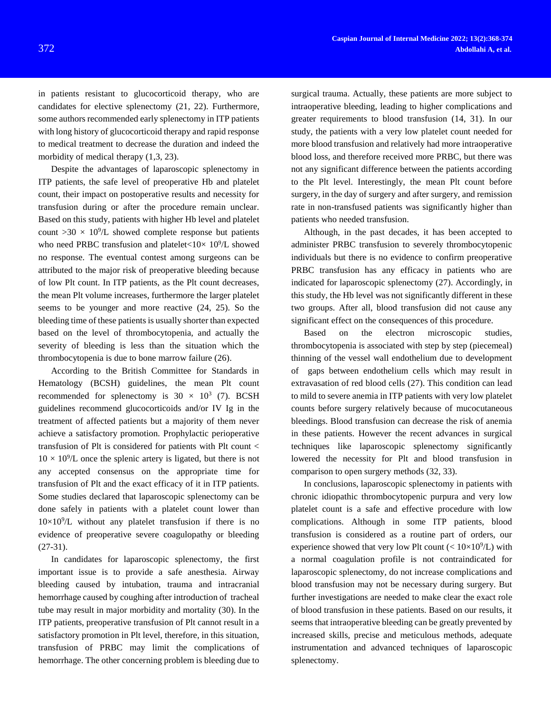in patients resistant to glucocorticoid therapy, who are candidates for elective splenectomy [\(21,](#page-5-12) [22\)](#page-6-0). Furthermore, some authors recommended early splenectomy in ITP patients with long history of glucocorticoid therapy and rapid response to medical treatment to decrease the duration and indeed the morbidity of medical therapy  $(1,3, 23)$  $(1,3, 23)$  $(1,3, 23)$ .

Despite the advantages of laparoscopic splenectomy in ITP patients, the safe level of preoperative Hb and platelet count, their impact on postoperative results and necessity for transfusion during or after the procedure remain unclear. Based on this study, patients with higher Hb level and platelet count  $>30 \times 10^9$ /L showed complete response but patients who need PRBC transfusion and platelet<10 $\times$  10 $^9$ /L showed no response. The eventual contest among surgeons can be attributed to the major risk of preoperative bleeding because of low Plt count. In ITP patients, as the Plt count decreases, the mean Plt volume increases, furthermore the larger platelet seems to be younger and more reactive [\(24,](#page-6-2) [25\)](#page-6-3). So the bleeding time of these patients is usually shorter than expected based on the level of thrombocytopenia, and actually the severity of bleeding is less than the situation which the thrombocytopenia is due to bone marrow failure [\(26\)](#page-6-4).

According to the British Committee for Standards in Hematology (BCSH) guidelines, the mean Plt count recommended for splenectomy is  $30 \times 10^3$  [\(7\)](#page-5-13). BCSH guidelines recommend glucocorticoids and/or IV Ig in the treatment of affected patients but a majority of them never achieve a satisfactory promotion. Prophylactic perioperative transfusion of Plt is considered for patients with Plt count <  $10 \times 10^9$ /L once the splenic artery is ligated, but there is not any accepted consensus on the appropriate time for transfusion of Plt and the exact efficacy of it in ITP patients. Some studies declared that laparoscopic splenectomy can be done safely in patients with a platelet count lower than  $10\times10^{9}/L$  without any platelet transfusion if there is no evidence of preoperative severe coagulopathy or bleeding [\(27-31\)](#page-6-5).

In candidates for laparoscopic splenectomy, the first important issue is to provide a safe anesthesia. Airway bleeding caused by intubation, trauma and intracranial hemorrhage caused by coughing after introduction of tracheal tube may result in major morbidity and mortality [\(30\)](#page-6-6). In the ITP patients, preoperative transfusion of Plt cannot result in a satisfactory promotion in Plt level, therefore, in this situation, transfusion of PRBC may limit the complications of hemorrhage. The other concerning problem is bleeding due to

surgical trauma. Actually, these patients are more subject to intraoperative bleeding, leading to higher complications and greater requirements to blood transfusion [\(14,](#page-5-3) [31\)](#page-6-7). In our study, the patients with a very low platelet count needed for more blood transfusion and relatively had more intraoperative blood loss, and therefore received more PRBC, but there was not any significant difference between the patients according to the Plt level. Interestingly, the mean Plt count before surgery, in the day of surgery and after surgery, and remission rate in non-transfused patients was significantly higher than patients who needed transfusion.

Although, in the past decades, it has been accepted to administer PRBC transfusion to severely thrombocytopenic individuals but there is no evidence to confirm preoperative PRBC transfusion has any efficacy in patients who are indicated for laparoscopic splenectomy [\(27\)](#page-6-5). Accordingly, in this study, the Hb level was not significantly different in these two groups. After all, blood transfusion did not cause any significant effect on the consequences of this procedure.

Based on the electron microscopic studies, thrombocytopenia is associated with step by step (piecemeal) thinning of the vessel wall endothelium due to development of gaps between endothelium cells which may result in extravasation of red blood cells [\(27\)](#page-6-5). This condition can lead to mild to severe anemia in ITP patients with very low platelet counts before surgery relatively because of mucocutaneous bleedings. Blood transfusion can decrease the risk of anemia in these patients. However the recent advances in surgical techniques like laparoscopic splenectomy significantly lowered the necessity for Plt and blood transfusion in comparison to open surgery methods [\(32,](#page-6-8) [33\)](#page-6-9).

In conclusions, laparoscopic splenectomy in patients with chronic idiopathic thrombocytopenic purpura and very low platelet count is a safe and effective procedure with low complications. Although in some ITP patients, blood transfusion is considered as a routine part of orders, our experience showed that very low Plt count  $(< 10 \times 10^9/L)$  with a normal coagulation profile is not contraindicated for laparoscopic splenectomy, do not increase complications and blood transfusion may not be necessary during surgery. But further investigations are needed to make clear the exact role of blood transfusion in these patients. Based on our results, it seems that intraoperative bleeding can be greatly prevented by increased skills, precise and meticulous methods, adequate instrumentation and advanced techniques of laparoscopic splenectomy.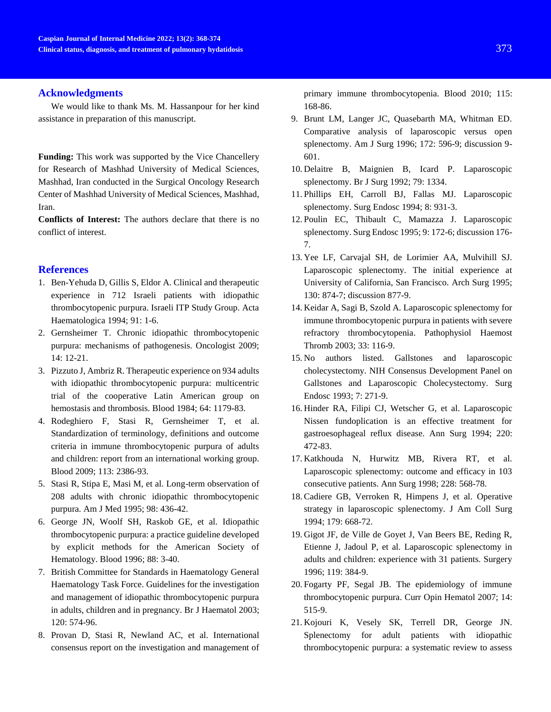# **Acknowledgments**

We would like to thank Ms. M. Hassanpour for her kind assistance in preparation of this manuscript.

**Funding:** This work was supported by the Vice Chancellery for Research of Mashhad University of Medical Sciences, Mashhad, Iran conducted in the Surgical Oncology Research Center of Mashhad University of Medical Sciences, Mashhad, Iran.

**Conflicts of Interest:** The authors declare that there is no conflict of interest.

# **References**

- <span id="page-5-0"></span>1. Ben-Yehuda D, Gillis S, Eldor A. Clinical and therapeutic experience in 712 Israeli patients with idiopathic thrombocytopenic purpura. Israeli ITP Study Group. Acta Haematologica 1994; 91: 1-6.
- <span id="page-5-8"></span>2. Gernsheimer T. Chronic idiopathic thrombocytopenic purpura: mechanisms of pathogenesis. Oncologist 2009; 14: 12-21.
- <span id="page-5-10"></span>3. Pizzuto J, Ambriz R. Therapeutic experience on 934 adults with idiopathic thrombocytopenic purpura: multicentric trial of the cooperative Latin American group on hemostasis and thrombosis. Blood 1984; 64: 1179-83.
- 4. Rodeghiero F, Stasi R, Gernsheimer T, et al. Standardization of terminology, definitions and outcome criteria in immune thrombocytopenic purpura of adults and children: report from an international working group. Blood 2009; 113: 2386-93.
- <span id="page-5-11"></span>5. Stasi R, Stipa E, Masi M, et al. Long-term observation of 208 adults with chronic idiopathic thrombocytopenic purpura. Am J Med 1995; 98: 436-42.
- <span id="page-5-1"></span>6. George JN, Woolf SH, Raskob GE, et al. Idiopathic thrombocytopenic purpura: a practice guideline developed by explicit methods for the American Society of Hematology. Blood 1996; 88: 3-40.
- <span id="page-5-13"></span>7. British Committee for Standards in Haematology General Haematology Task Force. Guidelines for the investigation and management of idiopathic thrombocytopenic purpura in adults, children and in pregnancy. Br J Haematol 2003; 120: 574-96.
- 8. Provan D, Stasi R, Newland AC, et al. International consensus report on the investigation and management of

primary immune thrombocytopenia. Blood 2010; 115: 168-86.

- <span id="page-5-2"></span>9. Brunt LM, Langer JC, Quasebarth MA, Whitman ED. Comparative analysis of laparoscopic versus open splenectomy. Am J Surg 1996; 172: 596-9; discussion 9- 601.
- 10. Delaitre B, Maignien B, Icard P. Laparoscopic splenectomy. Br J Surg 1992; 79: 1334.
- 11. Phillips EH, Carroll BJ, Fallas MJ. Laparoscopic splenectomy. Surg Endosc 1994; 8: 931-3.
- <span id="page-5-5"></span>12. Poulin EC, Thibault C, Mamazza J. Laparoscopic splenectomy. Surg Endosc 1995; 9: 172-6; discussion 176- 7.
- 13. Yee LF, Carvajal SH, de Lorimier AA, Mulvihill SJ. Laparoscopic splenectomy. The initial experience at University of California, San Francisco. Arch Surg 1995; 130: 874-7; discussion 877-9.
- <span id="page-5-3"></span>14. Keidar A, Sagi B, Szold A. Laparoscopic splenectomy for immune thrombocytopenic purpura in patients with severe refractory thrombocytopenia. Pathophysiol Haemost Thromb 2003; 33: 116-9.
- <span id="page-5-4"></span>15. No authors listed. Gallstones and laparoscopic cholecystectomy. NIH Consensus Development Panel on Gallstones and Laparoscopic Cholecystectomy. Surg Endosc 1993; 7: 271-9.
- 16. Hinder RA, Filipi CJ, Wetscher G, et al. Laparoscopic Nissen fundoplication is an effective treatment for gastroesophageal reflux disease. Ann Surg 1994; 220: 472-83.
- 17. Katkhouda N, Hurwitz MB, Rivera RT, et al. Laparoscopic splenectomy: outcome and efficacy in 103 consecutive patients. Ann Surg 1998; 228: 568-78.
- <span id="page-5-6"></span>18. Cadiere GB, Verroken R, Himpens J, et al. Operative strategy in laparoscopic splenectomy. J Am Coll Surg 1994; 179: 668-72.
- <span id="page-5-7"></span>19. Gigot JF, de Ville de Goyet J, Van Beers BE, Reding R, Etienne J, Jadoul P, et al. Laparoscopic splenectomy in adults and children: experience with 31 patients. Surgery 1996; 119: 384-9.
- <span id="page-5-9"></span>20. Fogarty PF, Segal JB. The epidemiology of immune thrombocytopenic purpura. Curr Opin Hematol 2007; 14: 515-9.
- <span id="page-5-12"></span>21. Kojouri K, Vesely SK, Terrell DR, George JN. Splenectomy for adult patients with idiopathic thrombocytopenic purpura: a systematic review to assess